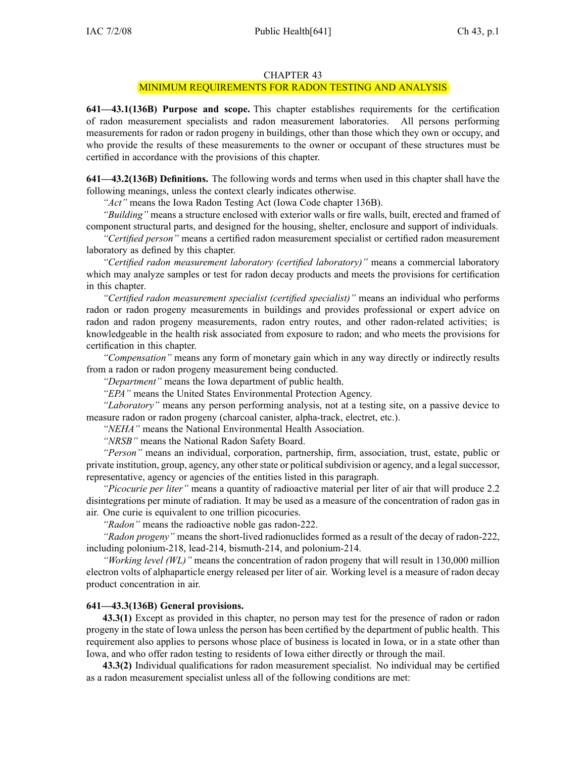#### CHAPTER 43

#### MINIMUM REQUIREMENTS FOR RADON TESTING AND ANALYSIS

**641—43.1(136B) Purpose and scope.** This chapter establishes requirements for the certification of radon measurement specialists and radon measurement laboratories. All persons performing measurements for radon or radon progeny in buildings, other than those which they own or occupy, and who provide the results of these measurements to the owner or occupan<sup>t</sup> of these structures must be certified in accordance with the provisions of this chapter.

**641—43.2(136B) Definitions.** The following words and terms when used in this chapter shall have the following meanings, unless the context clearly indicates otherwise.

*"Act"* means the Iowa Radon Testing Act (Iowa Code chapter 136B).

*"Building"* means <sup>a</sup> structure enclosed with exterior walls or fire walls, built, erected and framed of componen<sup>t</sup> structural parts, and designed for the housing, shelter, enclosure and suppor<sup>t</sup> of individuals.

*"Certified person"* means <sup>a</sup> certified radon measurement specialist or certified radon measurement laboratory as defined by this chapter.

*"Certified radon measurement laboratory (certified laboratory)"* means <sup>a</sup> commercial laboratory which may analyze samples or test for radon decay products and meets the provisions for certification in this chapter.

*"Certified radon measurement specialist (certified specialist)"* means an individual who performs radon or radon progeny measurements in buildings and provides professional or exper<sup>t</sup> advice on radon and radon progeny measurements, radon entry routes, and other radon-related activities; is knowledgeable in the health risk associated from exposure to radon; and who meets the provisions for certification in this chapter.

*"Compensation"* means any form of monetary gain which in any way directly or indirectly results from <sup>a</sup> radon or radon progeny measurement being conducted.

*"Department"* means the Iowa department of public health.

*"EPA"* means the United States Environmental Protection Agency.

*"Laboratory"* means any person performing analysis, not at <sup>a</sup> testing site, on <sup>a</sup> passive device to measure radon or radon progeny (charcoal canister, alpha-track, electret, etc.).

*"NEHA"* means the National Environmental Health Association.

*"NRSB"* means the National Radon Safety Board.

*"Person"* means an individual, corporation, partnership, firm, association, trust, estate, public or private institution, group, agency, any otherstate or politicalsubdivision or agency, and <sup>a</sup> legalsuccessor, representative, agency or agencies of the entities listed in this paragraph.

*"Picocurie per liter"* means <sup>a</sup> quantity of radioactive material per liter of air that will produce 2.2 disintegrations per minute of radiation. It may be used as <sup>a</sup> measure of the concentration of radon gas in air. One curie is equivalent to one trillion picocuries.

*"Radon"* means the radioactive noble gas radon-222.

*"Radon progeny"* means the short-lived radionuclides formed as <sup>a</sup> result of the decay of radon-222, including polonium-218, lead-214, bismuth-214, and polonium-214.

*"Working level (WL)"* means the concentration of radon progeny that will result in 130,000 million electron volts of alphaparticle energy released per liter of air. Working level is <sup>a</sup> measure of radon decay product concentration in air.

#### **641—43.3(136B) General provisions.**

**43.3(1)** Except as provided in this chapter, no person may test for the presence of radon or radon progeny in the state of Iowa unless the person has been certified by the department of public health. This requirement also applies to persons whose place of business is located in Iowa, or in <sup>a</sup> state other than Iowa, and who offer radon testing to residents of Iowa either directly or through the mail.

**43.3(2)** Individual qualifications for radon measurement specialist. No individual may be certified as <sup>a</sup> radon measurement specialist unless all of the following conditions are met: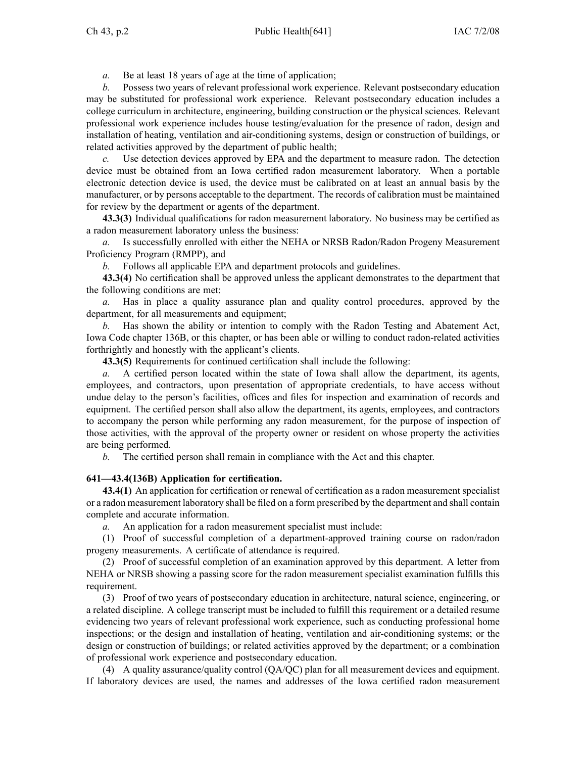*a.* Be at least 18 years of age at the time of application;

*b.* Possess two years of relevant professional work experience. Relevant postsecondary education may be substituted for professional work experience. Relevant postsecondary education includes <sup>a</sup> college curriculum in architecture, engineering, building construction or the physical sciences. Relevant professional work experience includes house testing/evaluation for the presence of radon, design and installation of heating, ventilation and air-conditioning systems, design or construction of buildings, or related activities approved by the department of public health;

Use detection devices approved by EPA and the department to measure radon. The detection device must be obtained from an Iowa certified radon measurement laboratory. When <sup>a</sup> portable electronic detection device is used, the device must be calibrated on at least an annual basis by the manufacturer, or by persons acceptable to the department. The records of calibration must be maintained for review by the department or agents of the department.

**43.3(3)** Individual qualifications for radon measurement laboratory. No business may be certified as <sup>a</sup> radon measurement laboratory unless the business:

*a.* Is successfully enrolled with either the NEHA or NRSB Radon/Radon Progeny Measurement Proficiency Program (RMPP), and

*b.* Follows all applicable EPA and department protocols and guidelines.

**43.3(4)** No certification shall be approved unless the applicant demonstrates to the department that the following conditions are met:

*a.* Has in place <sup>a</sup> quality assurance plan and quality control procedures, approved by the department, for all measurements and equipment;

*b.* Has shown the ability or intention to comply with the Radon Testing and Abatement Act, Iowa Code chapter 136B, or this chapter, or has been able or willing to conduct radon-related activities forthrightly and honestly with the applicant's clients.

**43.3(5)** Requirements for continued certification shall include the following:

*a.* A certified person located within the state of Iowa shall allow the department, its agents, employees, and contractors, upon presentation of appropriate credentials, to have access without undue delay to the person's facilities, offices and files for inspection and examination of records and equipment. The certified person shall also allow the department, its agents, employees, and contractors to accompany the person while performing any radon measurement, for the purpose of inspection of those activities, with the approval of the property owner or resident on whose property the activities are being performed.

*b.* The certified person shall remain in compliance with the Act and this chapter.

## **641—43.4(136B) Application for certification.**

**43.4(1)** An application for certification or renewal of certification as <sup>a</sup> radon measurement specialist or <sup>a</sup> radon measurement laboratory shall be filed on <sup>a</sup> form prescribed by the department and shall contain complete and accurate information.

*a.* An application for <sup>a</sup> radon measurement specialist must include:

(1) Proof of successful completion of <sup>a</sup> department-approved training course on radon/radon progeny measurements. A certificate of attendance is required.

(2) Proof of successful completion of an examination approved by this department. A letter from NEHA or NRSB showing <sup>a</sup> passing score for the radon measurement specialist examination fulfills this requirement.

(3) Proof of two years of postsecondary education in architecture, natural science, engineering, or <sup>a</sup> related discipline. A college transcript must be included to fulfill this requirement or <sup>a</sup> detailed resume evidencing two years of relevant professional work experience, such as conducting professional home inspections; or the design and installation of heating, ventilation and air-conditioning systems; or the design or construction of buildings; or related activities approved by the department; or <sup>a</sup> combination of professional work experience and postsecondary education.

(4) A quality assurance/quality control (QA/QC) plan for all measurement devices and equipment. If laboratory devices are used, the names and addresses of the Iowa certified radon measurement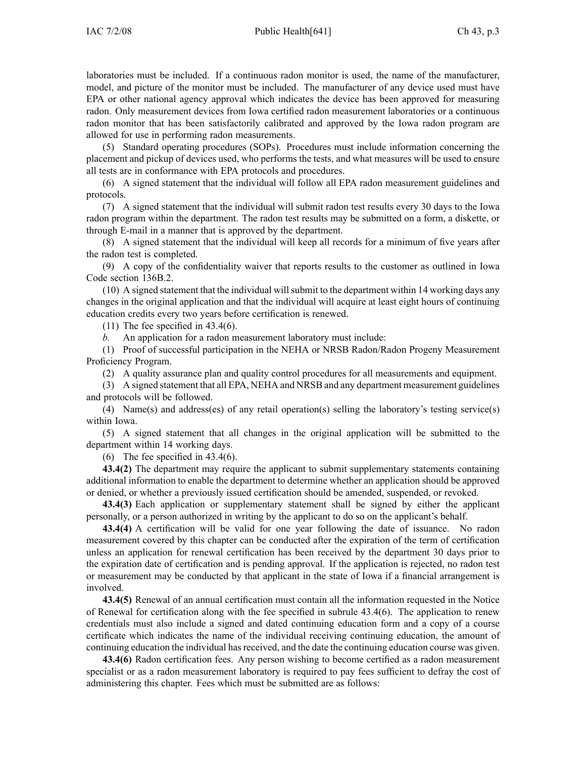laboratories must be included. If <sup>a</sup> continuous radon monitor is used, the name of the manufacturer, model, and picture of the monitor must be included. The manufacturer of any device used must have EPA or other national agency approval which indicates the device has been approved for measuring radon. Only measurement devices from Iowa certified radon measurement laboratories or <sup>a</sup> continuous radon monitor that has been satisfactorily calibrated and approved by the Iowa radon program are allowed for use in performing radon measurements.

(5) Standard operating procedures (SOPs). Procedures must include information concerning the placement and pickup of devices used, who performs the tests, and what measures will be used to ensure all tests are in conformance with EPA protocols and procedures.

(6) A signed statement that the individual will follow all EPA radon measurement guidelines and protocols.

(7) A signed statement that the individual will submit radon test results every 30 days to the Iowa radon program within the department. The radon test results may be submitted on <sup>a</sup> form, <sup>a</sup> diskette, or through E-mail in <sup>a</sup> manner that is approved by the department.

(8) A signed statement that the individual will keep all records for <sup>a</sup> minimum of five years after the radon test is completed.

(9) A copy of the confidentiality waiver that reports results to the customer as outlined in Iowa Code section 136B.2.

(10) A signed statement that the individual willsubmit to the department within 14 working days any changes in the original application and that the individual will acquire at least eight hours of continuing education credits every two years before certification is renewed.

 $(11)$  The fee specified in 43.4 $(6)$ .

*b.* An application for <sup>a</sup> radon measurement laboratory must include:

(1) Proof of successful participation in the NEHA or NRSB Radon/Radon Progeny Measurement Proficiency Program.

(2) A quality assurance plan and quality control procedures for all measurements and equipment.

(3) A signed statement that all EPA, NEHA and NRSB and any department measurement guidelines and protocols will be followed.

(4) Name(s) and address(es) of any retail operation(s) selling the laboratory's testing service(s) within Iowa.

(5) A signed statement that all changes in the original application will be submitted to the department within 14 working days.

(6) The fee specified in  $43.4(6)$ .

**43.4(2)** The department may require the applicant to submit supplementary statements containing additional information to enable the department to determine whether an application should be approved or denied, or whether <sup>a</sup> previously issued certification should be amended, suspended, or revoked.

**43.4(3)** Each application or supplementary statement shall be signed by either the applicant personally, or <sup>a</sup> person authorized in writing by the applicant to do so on the applicant's behalf.

**43.4(4)** A certification will be valid for one year following the date of issuance. No radon measurement covered by this chapter can be conducted after the expiration of the term of certification unless an application for renewal certification has been received by the department 30 days prior to the expiration date of certification and is pending approval. If the application is rejected, no radon test or measurement may be conducted by that applicant in the state of Iowa if <sup>a</sup> financial arrangemen<sup>t</sup> is involved.

**43.4(5)** Renewal of an annual certification must contain all the information requested in the Notice of Renewal for certification along with the fee specified in subrule 43.4(6). The application to renew credentials must also include <sup>a</sup> signed and dated continuing education form and <sup>a</sup> copy of <sup>a</sup> course certificate which indicates the name of the individual receiving continuing education, the amount of continuing education the individual has received, and the date the continuing education course was given.

**43.4(6)** Radon certification fees. Any person wishing to become certified as <sup>a</sup> radon measurement specialist or as <sup>a</sup> radon measurement laboratory is required to pay fees sufficient to defray the cost of administering this chapter. Fees which must be submitted are as follows: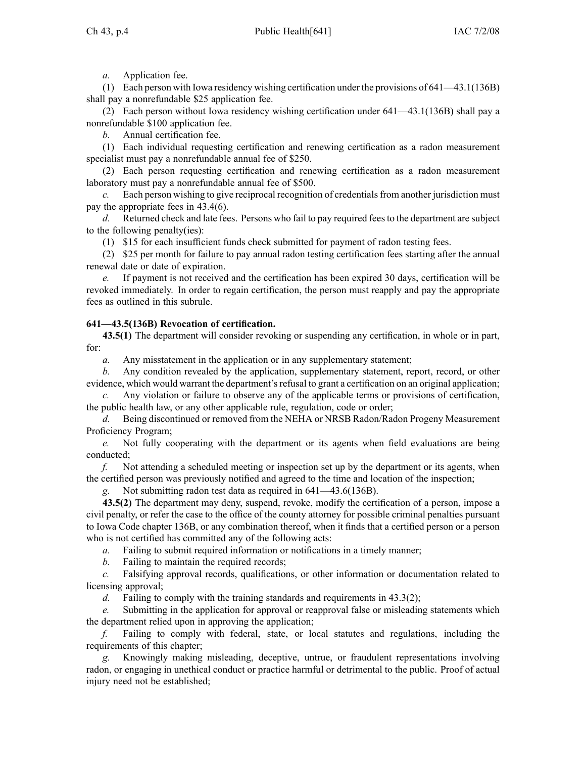*a.* Application fee.

(1) Each person with Iowa residency wishing certification under the provisions of 641—43.1(136B) shall pay <sup>a</sup> nonrefundable \$25 application fee.

(2) Each person without Iowa residency wishing certification under 641—43.1(136B) shall pay <sup>a</sup> nonrefundable \$100 application fee.

*b.* Annual certification fee.

(1) Each individual requesting certification and renewing certification as <sup>a</sup> radon measurement specialist must pay a nonrefundable annual fee of \$250.

(2) Each person requesting certification and renewing certification as <sup>a</sup> radon measurement laboratory must pay <sup>a</sup> nonrefundable annual fee of \$500.

*c.* Each person wishing to give reciprocal recognition of credentials from another jurisdiction must pay the appropriate fees in 43.4(6).

*d.* Returned check and late fees. Persons who fail to pay required feesto the department are subject to the following penalty(ies):

(1) \$15 for each insufficient funds check submitted for paymen<sup>t</sup> of radon testing fees.

(2) \$25 per month for failure to pay annual radon testing certification fees starting after the annual renewal date or date of expiration.

*e.* If paymen<sup>t</sup> is not received and the certification has been expired 30 days, certification will be revoked immediately. In order to regain certification, the person must reapply and pay the appropriate fees as outlined in this subrule.

# **641—43.5(136B) Revocation of certification.**

**43.5(1)** The department will consider revoking or suspending any certification, in whole or in part, for:

*a.* Any misstatement in the application or in any supplementary statement;

*b.* Any condition revealed by the application, supplementary statement, report, record, or other evidence, which would warrant the department's refusal to grant a certification on an original application;

*c.* Any violation or failure to observe any of the applicable terms or provisions of certification, the public health law, or any other applicable rule, regulation, code or order;

*d.* Being discontinued or removed from the NEHA or NRSB Radon/Radon Progeny Measurement Proficiency Program;

*e.* Not fully cooperating with the department or its agents when field evaluations are being conducted;

*f.* Not attending <sup>a</sup> scheduled meeting or inspection set up by the department or its agents, when the certified person was previously notified and agreed to the time and location of the inspection;

*g.* Not submitting radon test data as required in 641—43.6(136B).

**43.5(2)** The department may deny, suspend, revoke, modify the certification of <sup>a</sup> person, impose <sup>a</sup> civil penalty, or refer the case to the office of the county attorney for possible criminal penalties pursuan<sup>t</sup> to Iowa Code chapter 136B, or any combination thereof, when it finds that <sup>a</sup> certified person or <sup>a</sup> person who is not certified has committed any of the following acts:

*a.* Failing to submit required information or notifications in <sup>a</sup> timely manner;

*b.* Failing to maintain the required records;

*c.* Falsifying approval records, qualifications, or other information or documentation related to licensing approval;

*d.* Failing to comply with the training standards and requirements in 43.3(2);

*e.* Submitting in the application for approval or reapproval false or misleading statements which the department relied upon in approving the application;

*f.* Failing to comply with federal, state, or local statutes and regulations, including the requirements of this chapter;

*g.* Knowingly making misleading, deceptive, untrue, or fraudulent representations involving radon, or engaging in unethical conduct or practice harmful or detrimental to the public. Proof of actual injury need not be established;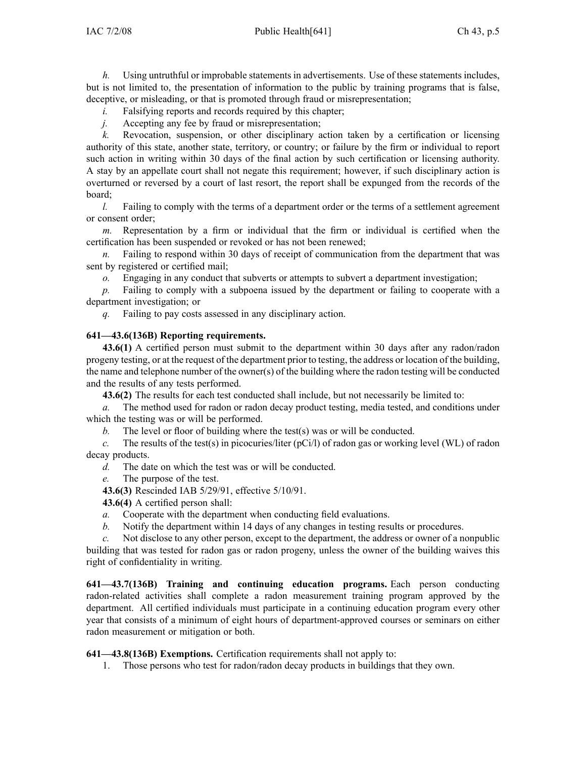*h.* Using untruthful or improbable statements in advertisements. Use of these statements includes, but is not limited to, the presentation of information to the public by training programs that is false, deceptive, or misleading, or that is promoted through fraud or misrepresentation;

*i.* Falsifying reports and records required by this chapter;

*j.* Accepting any fee by fraud or misrepresentation;

*k.* Revocation, suspension, or other disciplinary action taken by <sup>a</sup> certification or licensing authority of this state, another state, territory, or country; or failure by the firm or individual to repor<sup>t</sup> such action in writing within 30 days of the final action by such certification or licensing authority. A stay by an appellate court shall not negate this requirement; however, if such disciplinary action is overturned or reversed by <sup>a</sup> court of last resort, the repor<sup>t</sup> shall be expunged from the records of the board;

*l.* Failing to comply with the terms of a department order or the terms of a settlement agreement or consent order;

*m.* Representation by <sup>a</sup> firm or individual that the firm or individual is certified when the certification has been suspended or revoked or has not been renewed;

*n.* Failing to respond within 30 days of receipt of communication from the department that was sent by registered or certified mail;

*o.* Engaging in any conduct that subverts or attempts to subvert <sup>a</sup> department investigation;

*p.* Failing to comply with <sup>a</sup> subpoena issued by the department or failing to cooperate with <sup>a</sup> department investigation; or

*q.* Failing to pay costs assessed in any disciplinary action.

## **641—43.6(136B) Reporting requirements.**

**43.6(1)** A certified person must submit to the department within 30 days after any radon/radon progeny testing, or at the reques<sup>t</sup> of the department prior to testing, the address or location of the building, the name and telephone number of the owner(s) of the building where the radon testing will be conducted and the results of any tests performed.

**43.6(2)** The results for each test conducted shall include, but not necessarily be limited to:

*a.* The method used for radon or radon decay product testing, media tested, and conditions under which the testing was or will be performed.

*b.* The level or floor of building where the test(s) was or will be conducted.

*c.* The results of the test(s) in picocuries/liter (pCi/l) of radon gas or working level (WL) of radon decay products.

*d.* The date on which the test was or will be conducted.

*e.* The purpose of the test.

**43.6(3)** Rescinded IAB 5/29/91, effective 5/10/91.

**43.6(4)** A certified person shall:

*a.* Cooperate with the department when conducting field evaluations.

*b.* Notify the department within 14 days of any changes in testing results or procedures.

*c.* Not disclose to any other person, excep<sup>t</sup> to the department, the address or owner of <sup>a</sup> nonpublic building that was tested for radon gas or radon progeny, unless the owner of the building waives this right of confidentiality in writing.

**641—43.7(136B) Training and continuing education programs.** Each person conducting radon-related activities shall complete <sup>a</sup> radon measurement training program approved by the department. All certified individuals must participate in <sup>a</sup> continuing education program every other year that consists of <sup>a</sup> minimum of eight hours of department-approved courses or seminars on either radon measurement or mitigation or both.

**641—43.8(136B) Exemptions.** Certification requirements shall not apply to:

1. Those persons who test for radon/radon decay products in buildings that they own.